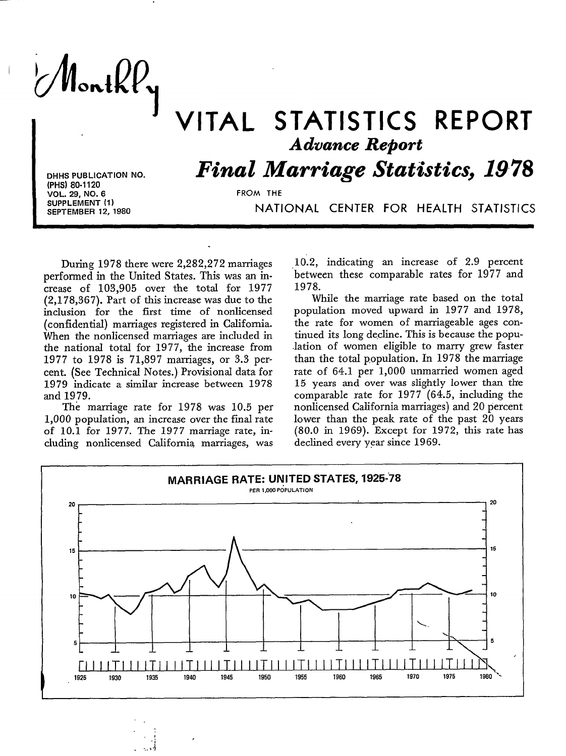MontkPy

## VITAL STATISTICS REPORT *Advance Report*

*Final Marriage Statistics, 1978*

**DHHS PUBLICATION NO. (PHS) 80.1120 VOL. 29, NO. 6 SUPPLEMENT (1) SEPTEMBER 12, 1980**

**FROM THE**

NATIONAL CENTER FOR HEALTH STATISTICS

During 1978 there were 2,282,272 marriages performed in the United States. This was an increase of 103,905 over the total for 1977 (2,178,367). Part of this increase was due to the inclusion for the first time of nordicensed (confidential) marriages registered in California. When the nonlicensed marriages are included in the national total for 1977, the increase from 1977 to 1978 is 71,897 marriages, or 3.3 percent. (See Technical Notes.) Provisional data for 1979 indicate a similar increase between 1978 and 1979.

The marriage rate for 1978 was 10.5 per 1,000 population, an increase over the final rate of 10.1 for 1977. The 1977 marriage rate, including nonlicensed California marriages, was

.\*

 $\mathbb{R}$  is the  $\mathbb{R}$ 

10.2, indicating an increase of 2.9 percent between these comparable rates for 1977 and 1978.

While the marriage rate based on the total population moved upward in 1977 and 1978, the rate for women of marriageable ages continued its **long decline.** This is because the **popu-** .lation of women eligible to marry grew faster than the total population, In 1978 the marriage rate of 64.1 per 1,000 unmarried women aged 15 years and over was slightly Iower than the comparable rate for 1977 (64.5, including the nonlicensed California marriages) and 20 percent lower than the peak rate of the past 20 years (80.0 in 1969). Except for 1972, this rate has declined every year since 1969.

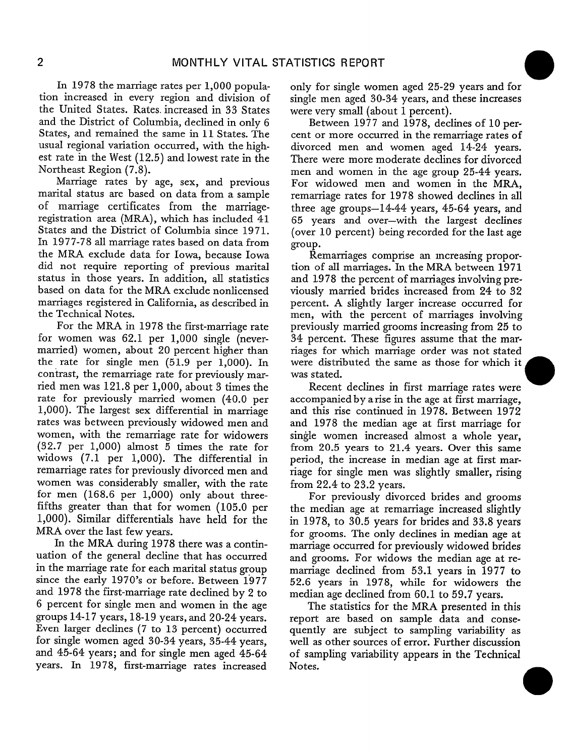In 1978 the marriage rates per 1,000 population increased in every region and division of the United States. Rates. increased in 33 States and the District of Columbia, declined in only 6 States, and remained the same in 11 States. The usuaI regional variation occurred, with the highest rate in the West (12.5) and lowest rate in the Northeast Region (7.8).

Marriage rates by age, sex, and previous marital status are based on data from a sample of marriage certificates from the marriageregistration area (MRA), which has included 41 States and the District of Columbia since 1971. In 1977-78 all marriage rates based on data from the MRA exclude data for Iowa, because Iowa did not require reporting of previous marital status in those years. In addition, all statistics based on data for the MRA exclude nonlicensed marriages registered in California, as described in the Technical Notes.

For the MRA in 1978 the first-marriage rate for women was 62.1 per 1,000 single (nevermarried) women, about 20 percent higher than the rate for single men (51.9 per 1,000). In contrast, the remarriage rate for previously married men was 121.8 per 1,000, about 3 times the rate for previously married women (40.0 per 1,000). The largest sex differential in marriage rates was between previously widowed men and women, with the remarriage rate for widowers (32.7 per 1,000) almost 5 times the rate for widows (7.1 per 1,000). The differential in remarriage rates for previously divorced men and women was considerably smaller, with the rate for men (168.6 per 1,000) only about threefifths greater than that for women (105.0 per 1,000). Similar differentials have held for the MRA over the last few years.

In the MRA during 1978 there was a continuation of the general decline that has occurred in the marriage rate for each marital status group since the early 1970's or before. Between 1977 and 1978 the first-marriage rate declined by 2 to 6 percent for single men and women in the age groups 14-17 years, 18-19 years, and 20-24 years. Even larger declines (7 to 13 percent) occurred for single women aged 30-34 years, 35-44 years, and 45-64 years; and for single men aged 45-64 years. In 1978, first-marriage rates increased only for single women aged 25-29 years and for single men aged 30-34 years, and these increase were very small (about 1 percent).

Between  $1977$  and  $1978$ , declines of 10 percent or more occurred in the remarriage rates of divorced men and women aged 14-24 years. There were more moderate declines for divorced men and women in the age group 25-44 years. For widowed men and women in the MRA, remarriage rates for 1978 showed declines in all three age groups-14-44 years, 45-64 years, and 65 years and over–with the largest declines (over 10 percent) being recorded for the last age group.

Remarriages comprise an increasing proportion of dl marriages. In the MRA between 1971 and  $1978$  the percent of marriages involving previously married brides increased from 24 to 32 percent. A slightly larger increase occurred for men, with the percent of marriages involving previously married grooms increasing from 25 to 34 percent. These figures assume that the marriages for which marriage order was not stated were distributed the same as those for which it was stated.

Recent declines in first marriage rates were accompanied by arise in the age at first marriage, and this rise continued in 1978. Between 1972 and 1978 the median age at first marriage for single women increased almost a whole year, from 20.5 years to 21.4 years. Over this same period, the increase in median age at first marriage for single men was slightly smaller, rising from 22.4 to 23.2 years.

For previously divorced brides and grooms the median age at remarriage increased slightly in 1978, to 30.5 years for brides and 33.8 years for grooms. The only declines in median age at marriage occurred for previously widowed brides and grooms. For widows the median age at remarriage declined from 53.1 years in 1977 to 52.6 years in 1978, while for widowers the median age declined from 60.1 to 59.7 years.

The statistics for the MRA presented in this report are based on sample data and consequently are subject to sampling variability as well as other sources of error. Further discussion of sampling variability appears in the Technical Notes.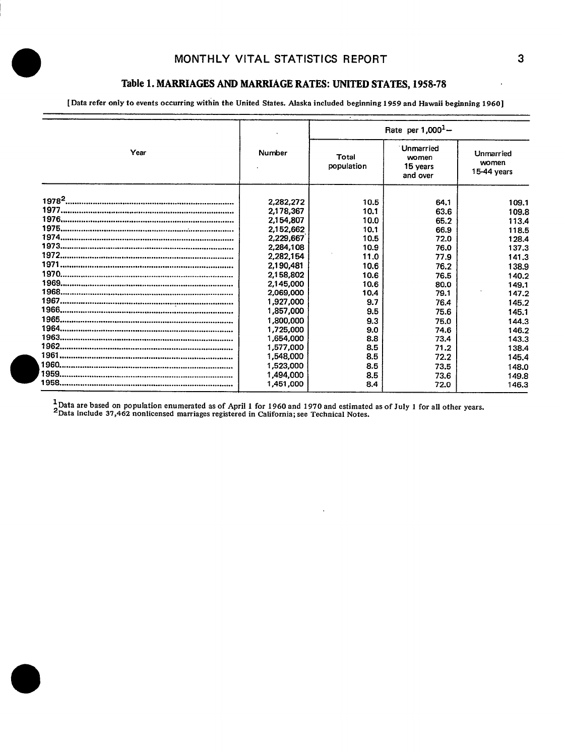### **MONTHLY VITAL STATISTICS REPORT 3**

 $\bullet$ 

## Table 1. MARRIAGES AND MARRIAGE RATES: UNITED STATES, 1958-78

[Data refer only to events occurring within the United States. Alaska included beginning 1959 and Hawaii beginning 1960]

|      |           | Rate per $1,000^{1} -$ |                                                   |                                   |  |  |  |
|------|-----------|------------------------|---------------------------------------------------|-----------------------------------|--|--|--|
| Year | Number    | Total<br>population    | <b>Unmarried</b><br>women<br>15 years<br>and over | Unmarried<br>women<br>15-44 years |  |  |  |
|      | 2,282,272 | 10.5                   | 64.1                                              | 109.1                             |  |  |  |
|      | 2,178,367 | 10.1                   | 63.6                                              | 109.8                             |  |  |  |
|      | 2,154,807 | 10.0                   | 65.2                                              | 113.4                             |  |  |  |
|      | 2,152,662 | 10.1                   | 66.9                                              | 118.5                             |  |  |  |
|      | 2,229,667 | 10.5                   | 72.0                                              | 128.4                             |  |  |  |
|      | 2,284,108 | 10.9                   | 76.0                                              | 137.3                             |  |  |  |
|      | 2,282,154 | 11.0                   | 77.9                                              | 141.3                             |  |  |  |
|      | 2,190,481 | 10.6                   | 76.2                                              | 138.9                             |  |  |  |
|      | 2,158,802 | 10.6                   | 76.5                                              | 140.2                             |  |  |  |
|      | 2,145,000 | 10.6                   | 80.0                                              | 149.1                             |  |  |  |
|      | 2,069,000 | 10.4                   | 79.1                                              | 147.2                             |  |  |  |
|      | 1,927,000 | 9.7                    | 76.4                                              | 145.2                             |  |  |  |
|      | 1,857,000 | 9.5                    | 75.6                                              | 145.1                             |  |  |  |
|      | 1,800,000 | 9.3                    | 75.0                                              | 144.3                             |  |  |  |
|      | 1,725,000 | 9.0                    | 74.6                                              | 146.2                             |  |  |  |
|      | 1,654,000 | 8.8                    | 73.4                                              | 143.3                             |  |  |  |
|      | 1,577,000 | 8.5                    | 71.2                                              | 138.4                             |  |  |  |
|      | 1,548,000 | 8.5                    | 72.2                                              | 145.4                             |  |  |  |
|      | 1,523,000 | 8.5                    | 73.5                                              | 148.0                             |  |  |  |
|      | 1,494,000 | 8.5                    | 73.6                                              | 149.8                             |  |  |  |
|      | 1,451,000 | 8.4                    | 72.0                                              | 146.3                             |  |  |  |

<sup>1</sup> Data are based on population enumerated as of April 1 for 1960 and 1970 and estimated as of July 1 for all other years.<br><sup>2</sup> Data include 37,462 nonlicensed marriages registered in California: see Technical Notes.

 $\ddot{\phantom{a}}$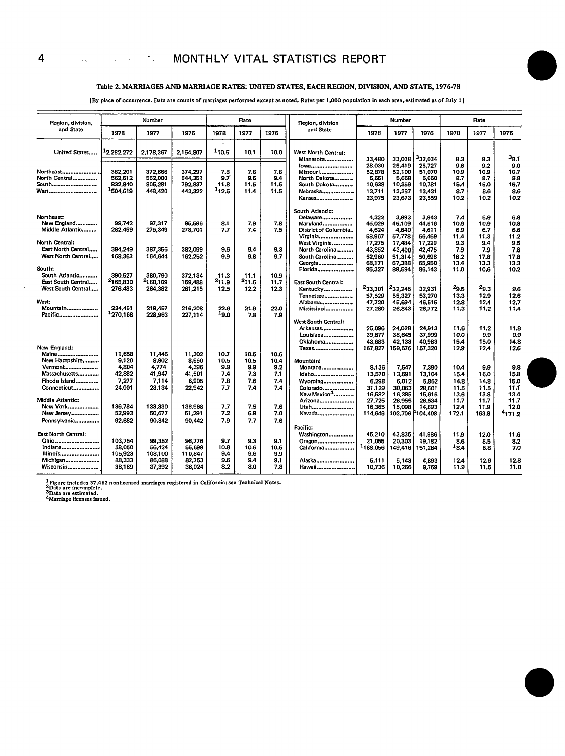#### **Table 2. MARRIAGES AND MARRIAGERATES: UNITEDSTATES,EACHREGION,DMSION, AND STATE, 1976-78**

[By place of occurrence. Data are counts of marriages performed except as noted. Rates per 1,000 population in each area, estimated as of July 1]

| and State                      |                      |           |           |              | Rate  |      | Region, division                 |                  | Number              |                     |              | Rate         |                    |
|--------------------------------|----------------------|-----------|-----------|--------------|-------|------|----------------------------------|------------------|---------------------|---------------------|--------------|--------------|--------------------|
|                                | 1978                 | 1977      | 1976      | 1978         | 1977  | 1976 | and State                        | 1978             | 1977                | 1976                | 1978         | 1977         | 1976               |
| United States                  | 12,282,272           | 2,178,367 | 2,154,807 | 110.5        | 10.1  | 10.0 | West North Central:<br>Minnesota | 33,480           | 33.038              | <sup>3</sup> 32.034 | 8.3          | 8.3          | 38.1               |
| Northeast                      | 382,201              | 372,666   | 374.297   | 7.8          | 7.6   | 7.6  | lowa<br>Missouri                 | 28,030<br>52,878 | 26,419<br>52,100    | 25,727<br>51.070    | 9.6<br>10.9  | 9.2<br>10.9  | 9.0<br>10.7        |
| North Central                  | 562,612              | 552,000   | 544,351   | 9.7          | 9.5   | 9.4  | North Dakota                     | 5.651            | 5,668               | 5,650               | 8.7          | 8.7          | 8.8                |
| South                          | 832,840              | 805,281   | 792,837   | 11.8         | 11.5  | 11.5 | South Dakota                     | 10,638           | 10,359              | 10.781              | 15.4         | 15.0         | 15.7               |
| West                           | <sup>1</sup> 504.619 | 448,420   | 443,322   | 112.5        | 11.4  | 11.5 | Nebraska                         | 13,711           | 13,387              | 13,431              | 8.7          | 8.6          | 8.6                |
|                                |                      |           |           |              |       |      | Kansas                           | 23,975           | 23,673              | 23,559              | 10.2         | 10.2         | 10.2               |
|                                |                      |           |           |              |       |      | South Atlantic:                  |                  |                     |                     |              |              |                    |
| Northeast:                     |                      |           |           |              |       |      | Delaware                         | 4.322            | 3,993               | 3.943               | 7.4          | 6.9          | 6.8                |
| New England<br>Middle Atlantic | 99,742               | 97,317    | 95,596    | 8.1          | 7.9   | 7.8  | Maryland                         | 45,029           | 45,109              | 44,616              | 10.9         | 10.9         | 10.8               |
|                                | 282,459              | 275,349   | 278,701   | 7.7          | 7.4   | 7.5  | District of Columbia<br>Virginia | 4,624<br>58,967  | 4,640<br>57,778     | 4,611<br>56,469     | 6.9<br>11.4  | 6.7<br>11.3  | 6.6<br>11.2        |
| North Central:                 |                      |           |           |              |       |      | West Virginia                    | 17,275           | 17,484              | 17,229              | 9.3          | 9.4          | 9.5                |
| East North Central             | 394,249              | 387,356   | 382.099   | 9.6          | 9.4   | 9.3  | North Carolina                   | 43,852           | 43.490              | 42,475              | 7.9          | 7.9          | 7.8                |
| West North Central             | 168,363              | 164,644   | 162,252   | 9.9          | 9.8   | 9.7  | South Carolina                   | 52,960           | 51,314              | 50,698              | 18.2         | 17.8         | 17.8               |
|                                |                      |           |           |              |       |      | Georgia                          | 68,171           | 67,388              | 65,950              | 13,4         | 13.3         | 13.3               |
| South:                         |                      |           |           |              |       |      | Florida                          | 95,327           | 89,594              | 86,143              | 11.0         | 10.6         | 10.2               |
| South Atlantic                 | 390,527              | 380,790   | 372,134   | 11.3         | 11.1  | 10.9 |                                  |                  |                     |                     |              |              |                    |
| East South Central             | 2165,830             | 2160,109  | 159,488   | $^{2}11.9$   | 211.6 | 11.7 | <b>East South Central:</b>       |                  |                     |                     |              |              |                    |
| West South Central             | 276,483              | 264,382   | 261,215   | 12.5         | 12.2  | 12,3 | Kentucky                         | 233,301          | <sup>2</sup> 32,245 | 32,931              | $^{29.5}$    | $2g_{,3}$    | 9.6                |
|                                |                      |           |           |              |       |      | Tennessee                        | 57,529           | 55,327              | 53,270              | 13.3         | 12.9         | 12.6               |
| West:                          |                      |           |           |              |       |      | Alabama                          | 47,720           | 45,694              | 46,515              | 12.8         | 12.4         | 12,7               |
| Mountain                       | 234.451<br>1270,168  | 219,457   | 216,208   | 22.6<br>19.0 | 21.9  | 22.0 | Mississippi                      | 27,280           | 26,843              | 26,772              | 11.3         | 11.2         | 11.4               |
| Pacific                        |                      | 228,963   | 227,114   |              | 7.8   | 7.9  | West South Central:              |                  |                     |                     |              |              |                    |
|                                |                      |           |           |              |       |      | Arkansas                         | 25,096           | 24.028              | 24,913              | 11.6         | 11.2         | 11.8               |
|                                |                      |           |           |              |       |      | Louisiana                        | 39.877           | 38,645              | 37,999              | 10.0         | 9.9          | 9.9                |
|                                |                      |           |           |              |       |      | Oklahoma                         | 43,683           | 42,133              | 40,983              | 15.4         | 15.0         | 14.8               |
| New England:                   |                      |           |           |              |       |      | <b>Texas</b>                     | 167,827          | 159,576             | 157,320             | 12.9         | 12.4         | 12.6               |
| Maine                          | 11,658               | 11,446    | 11,302    | 10.7         | 10.5  | 10.6 |                                  |                  |                     |                     |              |              |                    |
| New Hampshire                  | 9,120                | 8.902     | 8,550     | 10.5         | 10.5  | 10.4 | Mountain:                        |                  |                     |                     |              |              |                    |
| Vermont                        | 4,804                | 4,774     | 4,396     | 9.9          | 9.9   | 9.2  | Montana                          | 8,136            | 7,547               | 7,390               | 10.4         | 9.9          | 9.8                |
| Massachusetts                  | 42.882               | 41.947    | 41,501    | 7.4          | 7.3   | 7.1  | Idaho                            | 13,570           | 13.691              | 13.104              | 15.4         | 16.0         | 15.8               |
| Rhode Island                   | 7,277                | 7,114     | 6,905     | 7.8          | 7.6   | 7.4  | Wyoming                          | 6,298            | 6,012               | 5,862               | 14.8         | 14.8         | 15.0               |
| Connecticut                    | 24,001               | 23,134    | 22,942    | 7.7          | 7.4   | 7.4  | Colorado                         | 31,129           | 30,063              | 28.601              | 11.5         | 11.5         | 11,1               |
| Middle Atlantic:               |                      |           |           |              |       |      | New Mexico <sup>4</sup>          | 16,582           | 16.385              | 15,616              | 13.6         | 13.8         | 13.4               |
| New York                       | 136,784              | 133,830   | 136,968   | 7.7          | 7.5   | 7.6  | Arizona<br>Utah                  | 27,725<br>16,365 | 26.955<br>15,098    | 26.534<br>14.693    | 11.7<br>12.4 | 11.7<br>11.9 | 11.7<br>12.0       |
| New Jersey                     | 52,993               | 50.677    | 51,291    | 7.2          | 6.9   | 7.0  | Nevada                           | 114,646          | 103,706 f           | 104,408             | 172.1        | 163.8        | <sup>4</sup> 171.2 |
| Pennsylvania                   | 92,682               | 90.842    | 90.442    | 7.9          | 7.7   | 7.6  |                                  |                  |                     |                     |              |              |                    |
|                                |                      |           |           |              |       |      | Pacific:                         |                  |                     |                     |              |              |                    |
| <b>East North Central:</b>     |                      |           |           |              |       |      | Washington                       | 45,210           | 43,835              | 41,986              | 11.9         | 12.0         | 11.6               |
| Ohio                           | 103,754              | 99,352    | 96,776    | 9.7          | 9.3   | 9.1  | Oregon                           | 21,055           | 20,303              | 19,182              | 8.6          | 8.5          | 8.2                |
| Indiana                        | 58,050               | 56,424    | 55,699    | 10.8         | 10.6  | 10.5 | California                       | 188,056          | 149,416             | 151,284             | 18.4         | 6.8          | 7.0                |
| Illinois                       | 105,923              | 108,100   | 110,847   | 9.4          | 9.6   | 9.9  |                                  |                  |                     |                     |              |              |                    |
| Michigan                       | 88,333               | 86,038    | 82,753    | 9.6          | 9.4   | 9.1  | Alaska                           | 5,111            | 5,143               | 4.893               | 12.4         | 12.6         | 12.8               |
| Wisconsin                      | 38,189               | 37,392    | 36,024    | 8.2          | 8.0   | 7.8  | Hawaii                           | 10.736           | 10.266              | 9.769               | 11.9         | 11.5         | 11.0               |

<sup>1</sup> Figure includes 37,462 nonlicensed marriages registered in California; see Technical Notes.<br><sup>2</sup>Data are incomplete.<br><sup>3</sup>Data are estimated.<br><sup>4</sup>Marriage licenses issued.

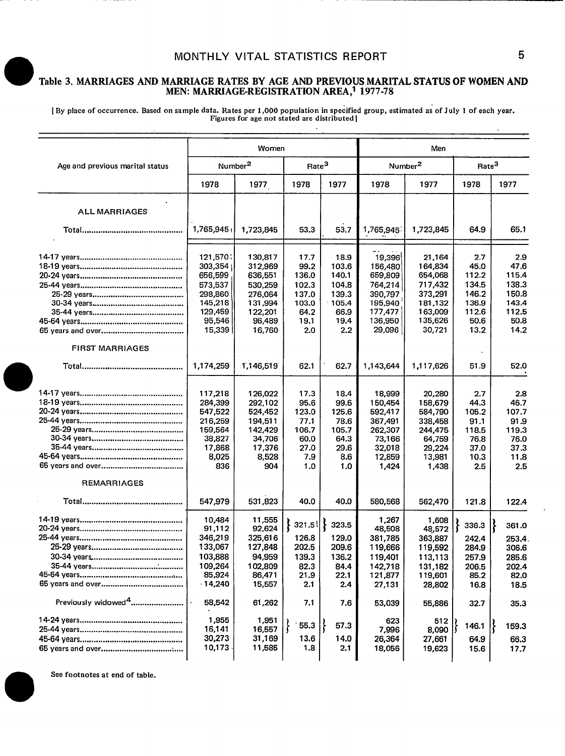## **MONTHLY VITAL STATISTICS REPORT 5**

#### Table 3. MARRIAGES AND MARRIAGE RATES BY AGE AND PREVIOUS MARITAL STATUS OF WOMENAND MEN: MARRIAGE-REGISTRATION AREA? 1977-78

[By place of occurrence. Based on sample data. Rates per 1,000 population in specified group, estimated as of July 1 of each year.<br>Figures for age not stated are distributed ]

|                                 |           | Women               |                   |          |           | Men                 |                   |       |
|---------------------------------|-----------|---------------------|-------------------|----------|-----------|---------------------|-------------------|-------|
| Age and previous marital status |           | Number <sup>2</sup> | Rate <sup>3</sup> |          |           | Number <sup>2</sup> | Rate <sup>3</sup> |       |
|                                 | 1978      | 1977                | 1978              | 1977     | 1978      | 1977                | 1978              | 1977  |
|                                 |           |                     |                   |          |           |                     |                   |       |
| <b>ALL MARRIAGES</b>            |           |                     |                   |          |           |                     |                   |       |
|                                 | 1,765,945 | 1,723,845           | 53.3              | 53.7     | 1,765,945 | 1,723,845           | 64.9              | 65.1  |
|                                 | 121,570   | 130,817             | 17.7              | 18.9     | 19,396    | 21,164              | 2.7               | 2.9   |
|                                 | 303,354   | 312,969             | 99.2              | 103.6    | 156,480   | 164,834             | 45.0              | 47.6  |
|                                 | 656,599   | 636,551             | 136.0             | 140.1    | 659,809   | 654,068             | 112.2             | 115.4 |
|                                 | 573,537   | 530,259             | 102.3             | 104.8    | 764,214   | 717,432             | 134.5             | 138.3 |
|                                 | 298,860   | 276,064             | 137.0             | 139.3    | 390,797   | 373,291             | 146.2             | 150.8 |
|                                 | 145,218   | 131,994             | 103.0             | $-105.4$ | 195,940   | 181,132             | 136.9             | 143.4 |
|                                 | 129,459   | 122,201             | 64.2              | 66.9     | 177,477   | 163,009             | 112.6             | 112.5 |
|                                 | 95,546    | 96,489              | 19.1              | 19.4     | 136,950   | 135,626             | 50.6              | 50.8  |
|                                 | 15,339    | 16,760              | 2.0               | 2.2      | 29,096    | 30,721              | 13.2              | 14.2  |
| <b>FIRST MARRIAGES</b>          |           |                     |                   |          |           |                     |                   |       |
|                                 | 1,174,259 | 1,146,519           | 62.1              | 62.7     | 1,143,644 | 1,117,626           | 51.9              | 52.0  |
|                                 |           |                     |                   |          |           |                     |                   |       |
|                                 | 117,218   | 126,022             | 17.3              | 18.4     | 18,999    | 20,280              | 2.7               | 2.8   |
|                                 | 284,399   | 292,102             | 95.6              | 99.6     | 150,454   | 158,679             | 44.3              | 46.7  |
|                                 | 547,522   | 524.452             | 123.0             | 125.6    | 592,417   | 584,790             | 105.2             | 107.7 |
|                                 | 216,259   | 194,511             | 77.1              | 78.6     | 367,491   | 338,458             | 91.1              | 91.9  |
|                                 | 159,564   | 142,429             | 106.7             | 105.7    | 262,307   | 244,475             | 118.5             | 119.3 |
|                                 | 38,827    | 34,706              | 60.0              | 64.3     | 73,166    | 64,759              | 76.8              | 76.0  |
|                                 | 17,868    | 17,376              | 27.0              | 29.6     | 32,018    | 29,224              | 37.0              | 37.3  |
|                                 | 8,025     | 8,528               | 7.9               | 8.6      | 12,859    | 13,981              | 10.3              | 11.8  |
|                                 | 836       | 904                 | 1.0               | 1.0      | 1,424     | 1,438               | 2.5               | 2.5   |
| <b>REMARRIAGES</b>              |           |                     |                   |          |           |                     |                   |       |
|                                 | 547,979   | 531,823             | 40.0              | 40.0     | 580,568   | 562,470             | 121.8             | 122.4 |
|                                 | 10,484    | 11,555              |                   |          | 1,267     | 1,608               |                   |       |
|                                 | 91,112    | 92,624              | 321.5             | 323.5    | 48,508    | 48,572              | 336.3             | 361.0 |
|                                 | 346,219   | 325,616             | 126.8             | 129.0    | 381,785   | 363,887             | 242.4             | 253.4 |
|                                 | 133,067   | 127,848             | 202.5             | 209.6    | 119,666   | 119,592             | 284.9             | 306.6 |
|                                 | 103,888   | 94,959              | 139.3             | 136.2    | 119,401   | 113,113             | 257.9             | 285.6 |
|                                 | 109,264   | 102,809             | 82.3              | 84.4     | 142,718   | 131,182             | 206.5             | 202.4 |
|                                 | 85,924    | 86,471              | 21.9              | 22.1     | 121,877   | 119,601             | 85.2              | 82.0  |
|                                 | 14,240    | 15,557              | 2.1               | 2.4      | 27,131    | 28,802              | 16.8              | 18.5  |
| Previously widowed <sup>4</sup> | 58,542    | 61,262              | 7.1               | 7.6      | 53,039    | 55,886              | 32.7              | 35.3  |
|                                 | 1,955     |                     |                   |          |           |                     |                   |       |
|                                 | 16,141    | 1,951               | 55.3              | 57.3     | 623       | 512                 | 146.1             | 159.3 |
|                                 | 30,273    | 16,557<br>31,169    | 13.6              | 14.0     | 7,996     | 8,090               |                   |       |
|                                 | 10,173    | 11,585              | 1.8               | 2.1      | 26,364    | 27,661              | 64.9              | 66.3  |
|                                 |           |                     |                   |          | 18,056    | 19,623              | 15.6              | 17.7  |

**See footnotes at end of table.**

 $\bullet$ 

 $\bullet$ 

 $\bullet$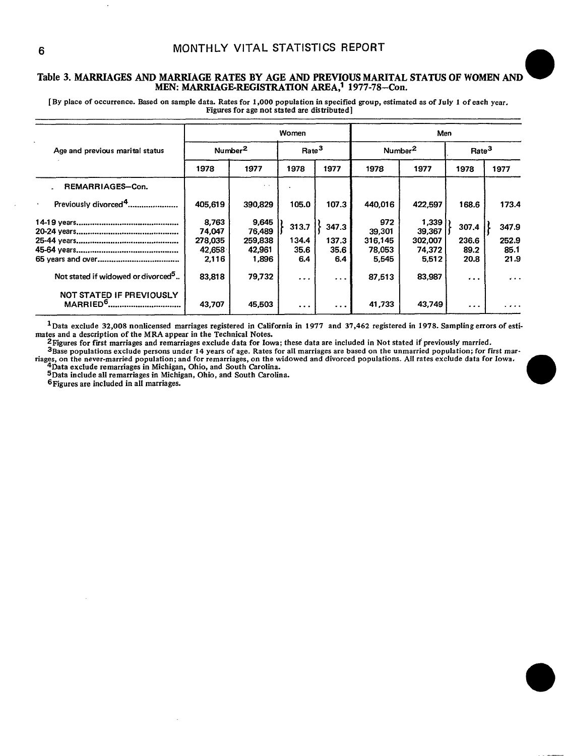# MONTHLY VITAL STATISTICS REPORT<br>Table 3. MARRIAGES AND MARRIAGE RATES BY AGE AND PREVIOUS MARITAL STATUS OF WOMEN AND MEN: MARRIAGE-REGISTRATION AREA,1 1977-78–Con

[By place of occurrence. Based on sample data. Rates for 1,000 population in specified group, estimated as of July 1 of each year. **Figures for age not atsted are distributed]**

|                                                  |                 |                         | Women             |                      | Men           |                     |                   |          |  |
|--------------------------------------------------|-----------------|-------------------------|-------------------|----------------------|---------------|---------------------|-------------------|----------|--|
| Age and previous marital status                  |                 | Number <sup>2</sup>     | Rate <sup>3</sup> |                      |               | Number <sup>2</sup> | Rate <sup>3</sup> |          |  |
|                                                  | 1978            | 1977                    | 1978              | 1977                 | 1978          | 1977                | 1978              | 1977     |  |
| REMARRIAGES-Con.                                 |                 | $\mathbf{z}=\mathbf{z}$ |                   |                      |               |                     |                   |          |  |
| Previously divorced <sup>4</sup><br>$\cdot$      | 405,619         | 390,829                 | 105.0             | 107.3                | 440,016       | 422,597             | 168.6             | 173.4    |  |
|                                                  | 8,763<br>74,047 | 9,645<br>76,489         | 313.7             | 347.3                | 972<br>39,301 | 1,339<br>39.367     | 307.4             | 347.9    |  |
|                                                  | 278,035         | 259,838                 | 134.4             | 137.3                | 316.145       | 302,007             | 236.6             | 252.9    |  |
|                                                  | 42,658          | 42,961                  | 35.6              | 35.6                 | 78.053        | 74,372              | 89.2              | 85.1     |  |
|                                                  | 2,116           | 1,896                   | 6.4               | 6.4                  | 5,545         | 5,512               | 20.8              | 21.9     |  |
| Not stated if widowed or divorced <sup>5</sup>   | 83,818          | 79,732                  | $\ddotsc$         | $\sim$ $\sim$ $\sim$ | 87,513        | 83,987              | $\cdots$          | $\cdots$ |  |
| NOT STATED IF PREVIOUSLY<br>MARRIED <sup>b</sup> | 43,707          | 45,503                  | $\cdots$          | $\cdots$             | 41,733        | 43,749              | $\cdot$           | .        |  |

1Data exclude 32,008 nonhcensed **marriages registered in California in 1977 and 37,462 registered in 1978.** SamPlin g errors of estimates and a description of the MRA appear in the Technical Notes.

2 Figures for first marriages and remarriages exclude data for Iowa; these data are included in Not stated if previously married.

 $3_{\text{Base}}$  populations exclude persons under 14 years of age. Rates for all marriages are based on the unmarried population: for first marriages, on the never-married population; and for remarriages, on the widowed and divorced populations. All rates exclude data for Iowa<br>4Data exclude remarriages in Michigan, Ohio, and South Carolina. 3Base populations exclude persons under 14 years of age. Rates for all marriages are based on the unmarried population; for first mar-<br>es, on the never-married population; and for remarriages, on the widowed and divorced p

**5Data** include all remarriages in Michigan, Ohio, and South Carolina.<br>**6Figures** are included in all marriages.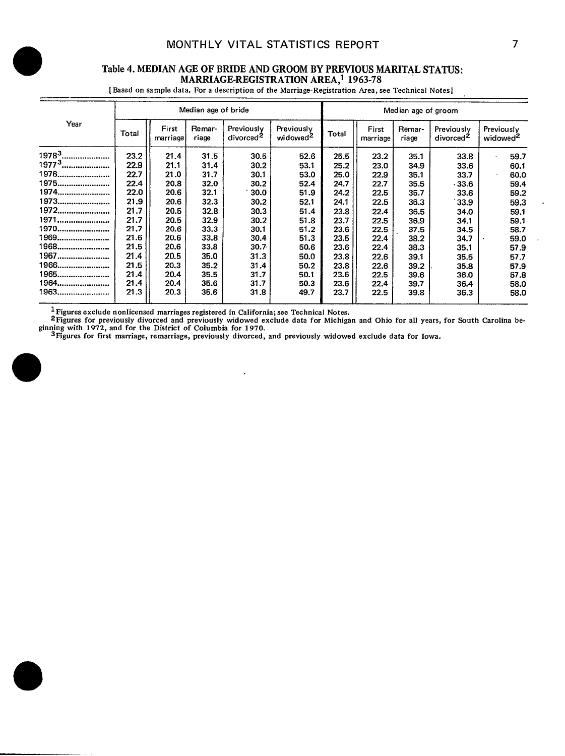#### Table 4. MEDIAN AGE OF BRIDE AND GROOM BY PREVIOUS MARITAL STATUS: MARRIAGE-REGISTRATION AREA,† 1963-78

[ **8ased on sampIe data. For a description of the Marriage-Registration Area, see Technical Notes I**

|                   |       |                   | Median age of bride |                                     |                                    | Median age of groom |                   |                 |                                     |                                    |  |
|-------------------|-------|-------------------|---------------------|-------------------------------------|------------------------------------|---------------------|-------------------|-----------------|-------------------------------------|------------------------------------|--|
| Year              | Total | First<br>marriage | Remar-<br>riage     | Previously<br>divorced <sup>2</sup> | Previously<br>widowed <sup>2</sup> | Total               | First<br>marriage | Remar-<br>riage | Previously<br>divorced <sup>2</sup> | Previously<br>widowed <sup>2</sup> |  |
| $19783$           | 23.2  | 21.4              | 31.5                | 30.5                                | 52.6                               | 25.5                | 23.2              | 35.1            | 33.8                                | 59.7                               |  |
| 1977 <sup>3</sup> | 22.9  | 21.1              | 31.4                | 30.2                                | $-53.1$                            | 25.2                | 23.0              | 34.9            | 33.6                                | 60.1                               |  |
| 1976              | 22.7  | 21.0              | 31.7                | 30.1                                | 53.0                               | 25.0                | 22.9              | 35.1            | 33.7                                | 60.0                               |  |
| 1975              | 22.4  | 20.8              | 32.0                | 30.2                                | 52.4                               | 24.7                | 22.7              | 35.5            | $-33.6$                             | 59.4                               |  |
| 1974              | 22.0  | 20.6              | 32.1                | 30.0                                | 51.9                               | 24.2                | 22.5              | 35.7            | 33.6                                | 59.2                               |  |
| 1973              | 21.9  | 20.6              | 32.3                | 30.2                                | 52.1                               | 24.1                | 22.5              | 36.3            | 33.9                                | 59.3                               |  |
| 1972              | 21.7  | 20.5              | 32.8                | 30.3                                | 51.4                               | 23.8                | 22.4              | 36.5            | 34.0                                | 59.1                               |  |
| 1971              | 21.7  | 20.5              | 32.9                | 30.2                                | 51.8                               | 23.7                | 22.5              | 36.9            | 34.1                                | 59.1                               |  |
| 1970              | 21.7  | 20.6              | 33.3                | 30.1                                | 51.2                               | 23.6                | 22.5              | 37.5            | 34.5                                | 58.7                               |  |
| 1969              | 21.6  | 20.6              | 33.8                | 30.4                                | 51.3                               | 23.5                | 22.4              | 38.2            | 34.7                                | 59.0                               |  |
| 1968              | 21.5  | 20.6              | 33.8                | 30.7 <sub>°</sub>                   | 50.6                               | 23.6                | 22.4              | 38.3            | 35.1                                | 57.9                               |  |
| 1967              | 21.4  | 20.5              | 35.0                | 31.3                                | 50.0                               | 23.8                | 22.6              | 39.1            | 35.5                                | 57.7                               |  |
| 1966              | 21.5  | 20.3              | 35.2                | 31.4                                | 50.2                               | 23.8                | 22.6              | 39.2            | 35.8                                | 57.9                               |  |
| 1965              | 21.4  | 20.4              | 35.5                | 31.7                                | 50.1                               | 23.6                | 22.5              | 39.6            | 36.0                                | 57.8                               |  |
| 1964              | 21.4  | 20.4              | 35.6                | 31.7                                | 50.3                               | 23.6                | 22.4              | 39.7            | 36.4                                | 58.0                               |  |
| 1963              | 21.3  | 20.3              | 35.6                | 31.8                                | 49.7                               | 23.7                | 22.5              | 39.8            | 36.3                                | 58.0                               |  |

 $\bullet$ 

 $\ddot{\phantom{a}}$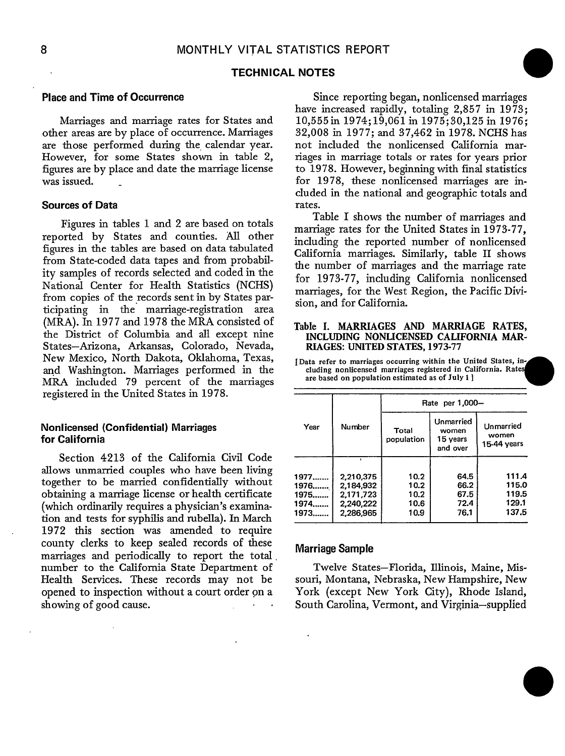#### **TECHNICAL NOTES**

#### **Placeand Time of Occurrence**

Marriages and marriage rates for States and other areas are by place of occurrence. Marriages are those performed during the calendar year. However, for some States shown in tabIe **2,** figures areby place and date the marriage license was issued. .

#### **Sources of Data**

Figures in tables 1 and 2 are based on totals reported by States and counties. All other figures in the tables are based on data tabulated from State-coded data tapes and from probability samples of records selected and coded in the National Center for Health Statistics (NCHS) from copies of the records sent in by States participating in the marriage-registration area (MRA). In 1977 and 1978 the MRA consisted of the District of Columbia and all except nine States–Arizona, Arkansas, Colorado, Nevada, New Mexico, North Dakota, Oklahoma, Texas, and Washington. Marriages performed in the MRA included 79 percent of the marriages registered in the United States in 1978.

#### **Nonlicensed (Confidential) Marriages for California**

Section 4213 of the California Civil Code allows unmarried couples who have been living together to be married confidentially without obtaining a marriage license or health certificate (which ordinarily requires a physician's examination and tests for syphilis and rubella). In March 1972 this section was amended to require county clerks to keep sealed records of these marriages and periodically to report the total number to the California State Department of Health Services. These records may not be opened to inspection without a court order on a showing of good cause.

Since reporting began, nonlicensed marriages have increased rapidly, totaling  $2,857$  in 1973; 10,555in 1974; 19,061 in 1975; 30,125 in 1976; 32,008 in 1977; and 37,462 in 1978. NCHS has not included the nonlicensed California marriages in marriage totals or rates for years prior to 1978. However, beginning with final statistics for 1978, these nonlicensed marriages are included in the national and geographic totals and rates.

Table I shows the number of marriages and marriage rates for the United States in 1973-77, including the reported number of nonlicensed California marriages. Similarly, table II shows the number of marriages and the marriage rate for 1973-77, including Cdifomia nonlicensed marriages, for the West Region, the Pacific Division, and for California.

#### **Table I. MARRIAGES AND MARRIAGE RATES,** INCLUDING NONUCENSED CALIFORNIA MAR-RIAGES: UNITED STATES, **1973-77**

[Data**refer to marriages occurring within the United States, including nonlicensed marriages registered in California. Rate are based on population estimated as of Jrrly 1 ]**

|       |           | Rate per 1,000-     |                                            |                                     |
|-------|-----------|---------------------|--------------------------------------------|-------------------------------------|
| Year  | Number    | Total<br>population | Unmarried<br>women<br>15 years<br>and over | Unmarried<br>women<br>$15-44$ years |
|       | ۰.        |                     |                                            |                                     |
| 1977  | 2,210,375 | 10.2                | 64.5                                       | 111.4                               |
| 1976. | 2.184,932 | 10.2                | 66.2                                       | 115.0                               |
| 1975  | 2,171,723 | 10.2                | 67.5                                       | 119.5                               |
| 1974  | 2,240,222 | 10.6                | 72.4                                       | 129.1                               |
| 1973. | 2,286,965 | 10.9                | 76.1                                       | 137.5                               |

#### **Marriage Sample**

Twelve States—Florida, Illinois, Maine, Missouri, Montana, Nebraska, New Hampshire, New York (except New York City), Rhode Island, South Carolina, Vermont, and Virginia-supplied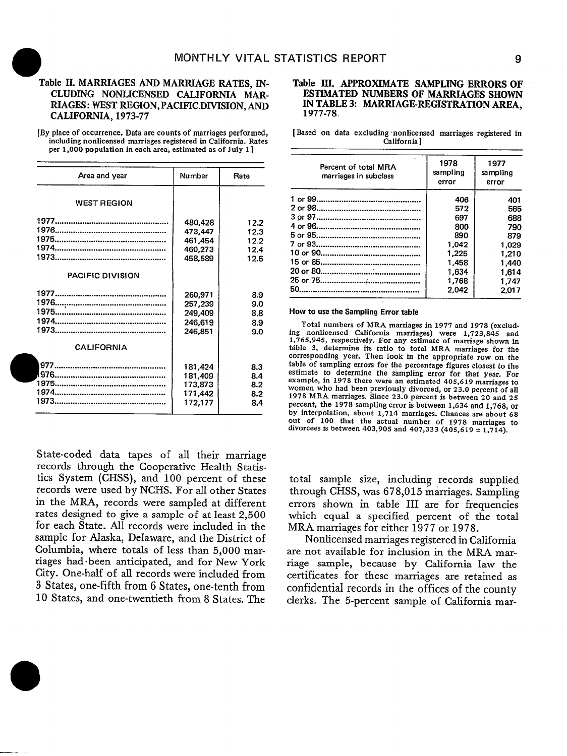#### Table II. MARRIAGES AND MARRIAGE RATES, IN-CLUDING NONLICENSED CALIFORNIA MAR-RIAGES: WEST REGION, PACIFIC.DIVISION, AND CALIFORNIA, 1973-77

—

—

[By place of occurrence.Data are counts of marriages performed, including nonlicensed marriages registered **in California. Rates per 1,000 population in each area, estimated as of July 1 ]**

| Area and year           | Number  | Rate |
|-------------------------|---------|------|
| <b>WEST REGION</b>      |         |      |
|                         | 480,428 | 12.2 |
|                         | 473,447 | 12.3 |
|                         | 461.454 | 12.2 |
|                         | 460.273 | 12.4 |
|                         | 458,589 | 12.5 |
| <b>PACIFIC DIVISION</b> |         |      |
|                         | 260,971 | 8.9  |
|                         | 257,239 | 9.0  |
|                         | 249,409 | 8.8  |
|                         | 246,619 | 8.9  |
|                         | 246.851 | 9.0  |
| <b>CALIFORNIA</b>       |         |      |
|                         | 181.424 | 8.3  |
|                         | 181,409 | 8.4  |
|                         | 173,873 | 8.2  |
|                         | 171,442 | 8.2  |
|                         | 172,177 | 8.4  |

State-coded data tapes of all their marriage records through the Cooperative Health Statistics System (CHSS), and 100 percent of these records were used by NCHS. For all other States in the MRA, records were sampled at different rates designed to give a sample of at least 2,500 for each State. All records were included in the sample for Alaska, Delaware, and the District of Columbia, where totals of less than 5,000 marriages had -been anticipated, and for New York City. One-half of all records were included from 3 **States,** one-fifth from 6 States, one-tenth from 10 States, and one-twentieth from 8 States. The

#### Table III. APPROXIMATE SAMPLING ERRORS OF ESTIMATED NUMBERS OF MARRIAGES SHOWN IN TABLE 3: MARRIAGE-REGISTRATION AREA, 1977-78.

[Based **on** data excluding nordicensed marriages registered **in California]**

| Percent of total MRA<br>marriages in subclass | 1978<br>sampling<br>error | 1977<br>sampling<br>error |
|-----------------------------------------------|---------------------------|---------------------------|
|                                               | 406                       | 401                       |
|                                               | 572                       | 565                       |
|                                               | 697                       | 688                       |
|                                               | 800                       | 790                       |
|                                               | 890                       | 879                       |
|                                               | 1,042                     | 1.029                     |
|                                               | 1,225                     | 1,210                     |
|                                               | 1.458                     | 1,440                     |
|                                               | 1,634                     | 1,614                     |
|                                               | 1.768                     | 1.747                     |
| 50                                            | 2.042                     | 2.017                     |

#### How to use the Sampling Error table

Total numbers **of MRA marriages in 1977 and 1978 (exclud**ing nonlicensed California marriages) were 1,723,845 and<br>1,765,945, respectively. For any estimate of marriage shown in **table 3, determine its ratio to total MRA marriages for the corresponding year. Then look in the appropriate row on the table of sampling errors for the percentage figures closest** *to* **the estimate to determine the sampling error for that year. For example, in 1978 there were an estimated 405,619 marriagea to women who had been previously divorced, or 23.0 percent of all 1978 MRA marriages. Since 23.0 percent is between 20 and 25 percent, the 1978 sampling error is between 1,634 and 1,768, or by interrrolation. about 1,714 marriages. Chances are about 68 out of 100 that the actual number of 1978 marriages to divorcees is between 403,905 and 407,333 (405,619 & 1,714).**

total sample size, including records supplied through CHSS, was 678,015 marriages. Sampling errors shown in table III are for frequencies which equal a specified percent of the total MRA marriages for either 1977 or 1978.

Nonlicensed marriages registered in California are not available for inclusion in the MRA marriage sample, because by California law the certificates for these marriages are retained as confidential records in the offices of the county clerks. The 5-percent sample of California mar-

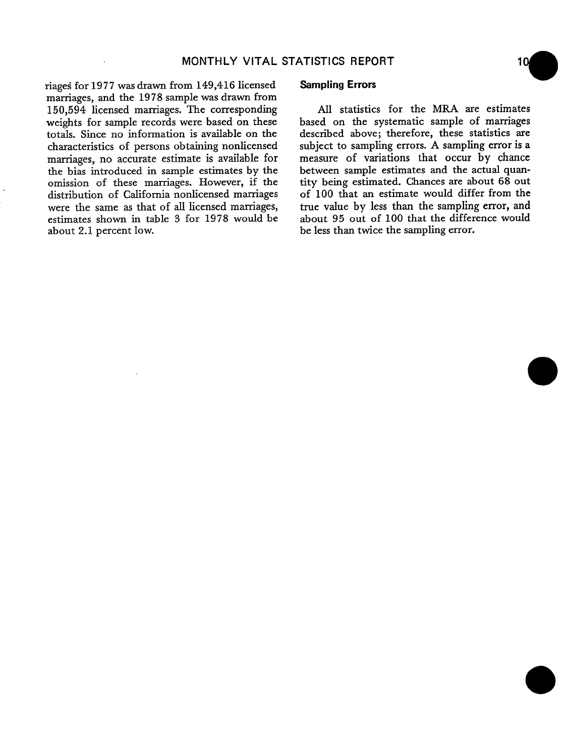riages for 1977 was drawn from 149,416 licensed marriages, and the 1978 sample was drawn from 150,594 licensed marriages. The corresponding weights for sample records were based on these totals. Since no information is available on the characteristics of persons obtaining nonlicensed marriages, no accurate estimate is available for measure of variations that occur by chance<br>the bias introduced in sample estimates by the between sample estimates and the actual quanthe bias introduced in sample estimates by the between sample estimates and the actual quan-<br>omission of these marriages. However, if the tity being estimated. Chances are about 68 out omission of these marriages. However, if the tity being estimated. Chances are about 68 out distribution of California nonlicensed marriages of 100 that an estimate would differ from the distribution of California nonlicensed marriages of 100 that an estimate would differ from the were the same as that of all licensed marriages, true value by less than the sampling error, and were the same as that of all licensed marriages, estimates shown in table 3 for 1978 would be estimates shown in table 3 for 1978 would be about 95 out of 100 that the difference would about 2.1 percent low.<br>be less than twice the sampling error.

#### **Sampling Errors**

All statistics for the MRA are estimates based on the systematic sample of marriages described above; therefore, these statistics are subject to sampling errors. A sampling error is a<br>measure of variations that occur by chance be less than twice the sampling error.

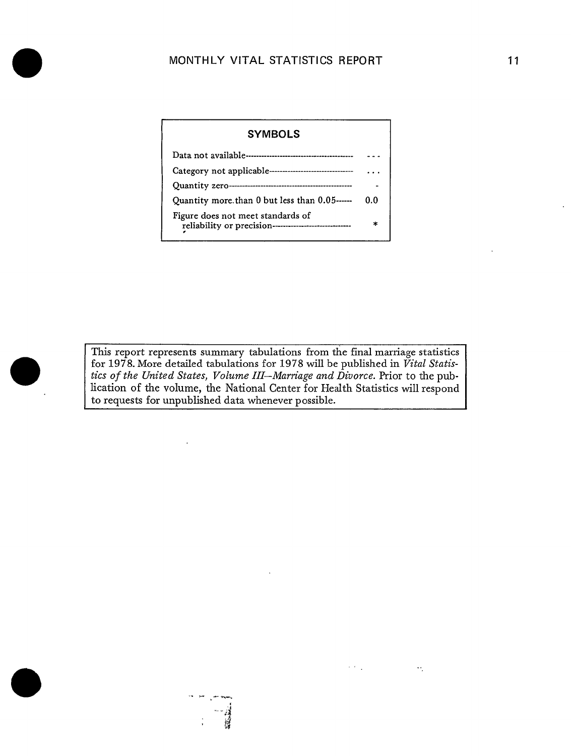## **SYMBOLS** Data not available ----------------------------------------- --- Category not applicable -------------------------------- . . . Quantity zero ---------------------------------------------- - Quantity more than 0 but less than 0.05 ------ 0.0 Figure does not meet standards of reliability or precision-----------------------------<br>, \*

o

This report represents summary tabulations from the final marriage statistics for 1978. More detailed tabulations for 1978 will be published in Vital Statis*tics of the United States, Volume 111–Marn"age and Divorce.* Prior to the publication of the volume, the National Center for Health Statistics will respond to requests for unpublished data whenever possible.

 $\sigma_{\rm{eff}}=0.01$ 

 $\mathcal{H}_{\mathcal{C}}$